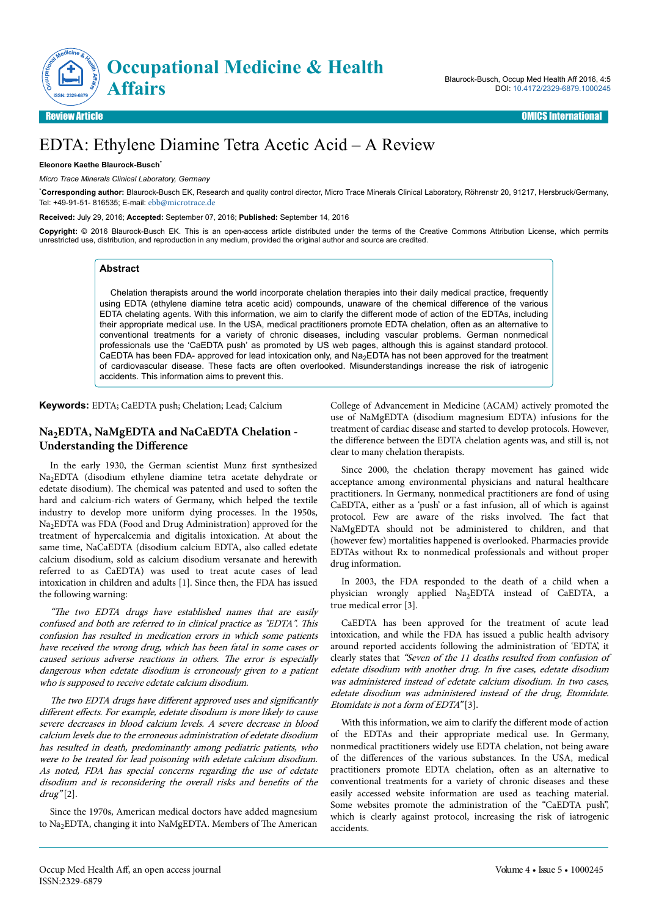

# EDTA: Ethylene Diamine Tetra Acetic Acid – A Review

# **Eleonore Kaethe Blaurock-Busch**\*

*Micro Trace Minerals Clinical Laboratory, Germany*

\***Corresponding author:** Blaurock-Busch EK, Research and quality control director, Micro Trace Minerals Clinical Laboratory, Röhrenstr 20, 91217, Hersbruck/Germany, Tel: +49-91-51- 816535; E-mail: [ebb@microtrace.de](mailto:ebb@microtrace.de)

**Received:** July 29, 2016; **Accepted:** September 07, 2016; **Published:** September 14, 2016

**Copyright:** © 2016 Blaurock-Busch EK. This is an open-access article distributed under the terms of the Creative Commons Attribution License, which permits unrestricted use, distribution, and reproduction in any medium, provided the original author and source are credited.

### **Abstract**

Chelation therapists around the world incorporate chelation therapies into their daily medical practice, frequently using EDTA (ethylene diamine tetra acetic acid) compounds, unaware of the chemical difference of the various EDTA chelating agents. With this information, we aim to clarify the different mode of action of the EDTAs, including their appropriate medical use. In the USA, medical practitioners promote EDTA chelation, often as an alternative to conventional treatments for a variety of chronic diseases, including vascular problems. German nonmedical professionals use the 'CaEDTA push' as promoted by US web pages, although this is against standard protocol. CaEDTA has been FDA- approved for lead intoxication only, and Na<sub>2</sub>EDTA has not been approved for the treatment of cardiovascular disease. These facts are often overlooked. Misunderstandings increase the risk of iatrogenic accidents. This information aims to prevent this.

**Keywords:** EDTA; CaEDTA push; Chelation; Lead; Calcium

# **Na2EDTA, NaMgEDTA and NaCaEDTA Chelation - Understanding the Difference**

In the early 1930, the German scientist Munz first synthesized Na2EDTA (disodium ethylene diamine tetra acetate dehydrate or edetate disodium). The chemical was patented and used to soften the hard and calcium-rich waters of Germany, which helped the textile industry to develop more uniform dying processes. In the 1950s, Na<sub>2</sub>EDTA was FDA (Food and Drug Administration) approved for the treatment of hypercalcemia and digitalis intoxication. At about the same time, NaCaEDTA (disodium calcium EDTA, also called edetate calcium disodium, sold as calcium disodium versanate and herewith referred to as CaEDTA) was used to treat acute cases of lead intoxication in children and adults [1]. Since then, the FDA has issued the following warning:

"The two EDTA drugs have established names that are easily confused and both are referred to in clinical practice as "EDTA". This confusion has resulted in medication errors in which some patients have received the wrong drug, which has been fatal in some cases or caused serious adverse reactions in others. Нe error is especially dangerous when edetate disodium is erroneously given to a patient who is supposed to receive edetate calcium disodium.

The two EDTA drugs have different approved uses and significantly different effects. For example, edetate disodium is more likely to cause severe decreases in blood calcium levels. A severe decrease in blood calcium levels due to the erroneous administration of edetate disodium has resulted in death, predominantly among pediatric patients, who were to be treated for lead poisoning with edetate calcium disodium. As noted, FDA has special concerns regarding the use of edetate disodium and is reconsidering the overall risks and benefits of the  $drug$ "[2].

Since the 1970s, American medical doctors have added magnesium to Na<sub>2</sub>EDTA, changing it into NaMgEDTA. Members of The American

College of Advancement in Medicine (ACAM) actively promoted the use of NaMgEDTA (disodium magnesium EDTA) infusions for the treatment of cardiac disease and started to develop protocols. However, the difference between the EDTA chelation agents was, and still is, not clear to many chelation therapists.

Since 2000, the chelation therapy movement has gained wide acceptance among environmental physicians and natural healthcare practitioners. In Germany, nonmedical practitioners are fond of using CaEDTA, either as a 'push' or a fast infusion, all of which is against protocol. Few are aware of the risks involved. Нe fact that NaMgEDTA should not be administered to children, and that (however few) mortalities happened is overlooked. Pharmacies provide EDTAs without Rx to nonmedical professionals and without proper drug information.

In 2003, the FDA responded to the death of a child when a physician wrongly applied Na2EDTA instead of CaEDTA, a true medical error [3].

CaEDTA has been approved for the treatment of acute lead intoxication, and while the FDA has issued a public health advisory around reported accidents following the administration of 'EDTA', it clearly states that "Seven of the 11 deaths resulted from confusion of edetate disodium with another drug. In five cases, edetate disodium was administered instead of edetate calcium disodium. In two cases, edetate disodium was administered instead of the drug, Etomidate. Etomidate is not a form of EDTA" [3].

With this information, we aim to clarify the different mode of action of the EDTAs and their appropriate medical use. In Germany, nonmedical practitioners widely use EDTA chelation, not being aware of the differences of the various substances. In the USA, medical practitioners promote EDTA chelation, often as an alternative to conventional treatments for a variety of chronic diseases and these easily accessed website information are used as teaching material. Some websites promote the administration of the "CaEDTA push", which is clearly against protocol, increasing the risk of iatrogenic accidents.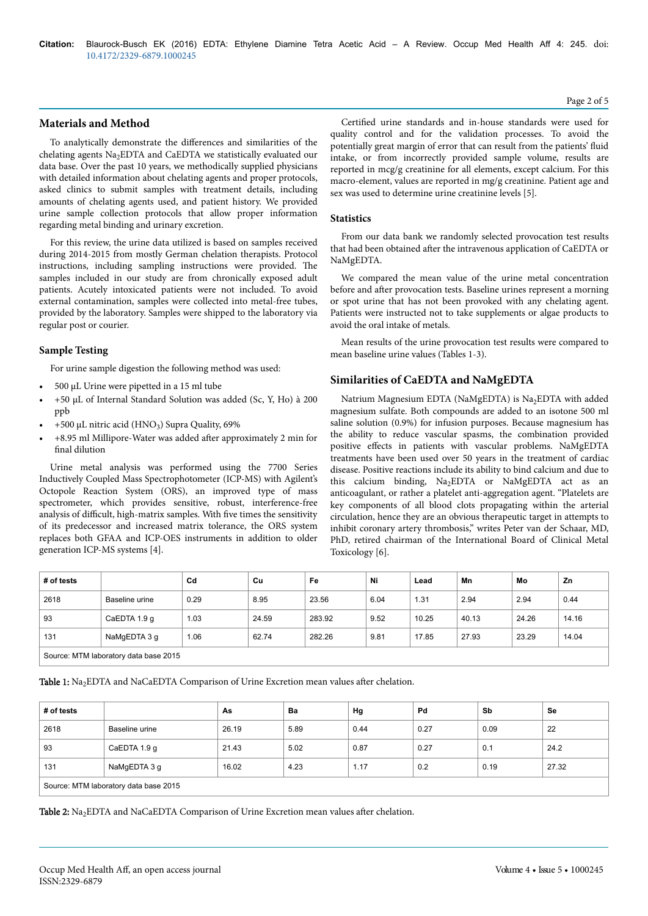# **Materials and Method**

To analytically demonstrate the differences and similarities of the chelating agents Na2EDTA and CaEDTA we statistically evaluated our data base. Over the past 10 years, we methodically supplied physicians with detailed information about chelating agents and proper protocols, asked clinics to submit samples with treatment details, including amounts of chelating agents used, and patient history. We provided urine sample collection protocols that allow proper information regarding metal binding and urinary excretion.

For this review, the urine data utilized is based on samples received during 2014-2015 from mostly German chelation therapists. Protocol instructions, including sampling instructions were provided. Нe samples included in our study are from chronically exposed adult patients. Acutely intoxicated patients were not included. To avoid external contamination, samples were collected into metal-free tubes, provided by the laboratory. Samples were shipped to the laboratory via regular post or courier.

#### **Sample Testing**

For urine sample digestion the following method was used:

- 500 µL Urine were pipetted in a 15 ml tube
- +50 µL of Internal Standard Solution was added (Sc, Y, Ho) à 200 ppb
- $\bullet\quad$  +500 µL nitric acid (HNO<sub>3</sub>) Supra Quality, 69%
- +8.95 ml Millipore-Water was added after approximately 2 min for final dilution

Urine metal analysis was performed using the 7700 Series Inductively Coupled Mass Spectrophotometer (ICP-MS) with Agilent's Octopole Reaction System (ORS), an improved type of mass spectrometer, which provides sensitive, robust, interference-free analysis of difficult, high-matrix samples. With five times the sensitivity of its predecessor and increased matrix tolerance, the ORS system replaces both GFAA and ICP-OES instruments in addition to older generation ICP-MS systems [4].

Certified urine standards and in-house standards were used for quality control and for the validation processes. To avoid the potentially great margin of error that can result from the patients' fluid intake, or from incorrectly provided sample volume, results are reported in mcg/g creatinine for all elements, except calcium. For this macro-element, values are reported in mg/g creatinine. Patient age and sex was used to determine urine creatinine levels [5].

#### **Statistics**

From our data bank we randomly selected provocation test results that had been obtained after the intravenous application of CaEDTA or NaMgEDTA.

We compared the mean value of the urine metal concentration before and after provocation tests. Baseline urines represent a morning or spot urine that has not been provoked with any chelating agent. Patients were instructed not to take supplements or algae products to avoid the oral intake of metals.

Mean results of the urine provocation test results were compared to mean baseline urine values (Tables 1-3).

# **Similarities of CaEDTA and NaMgEDTA**

Natrium Magnesium EDTA (NaMgEDTA) is Na<sub>2</sub>EDTA with added magnesium sulfate. Both compounds are added to an isotone 500 ml saline solution (0.9%) for infusion purposes. Because magnesium has the ability to reduce vascular spasms, the combination provided positive effects in patients with vascular problems. NaMgEDTA treatments have been used over 50 years in the treatment of cardiac disease. Positive reactions include its ability to bind calcium and due to this calcium binding, Na2EDTA or NaMgEDTA act as an anticoagulant, or rather a platelet anti-aggregation agent. "Platelets are key components of all blood clots propagating within the arterial circulation, hence they are an obvious therapeutic target in attempts to inhibit coronary artery thrombosis," writes Peter van der Schaar, MD, PhD, retired chairman of the International Board of Clinical Metal Toxicology [6].

| # of tests                            |                | Cd   | Cu    | Fe     | Ni   | Lead  | Mn    | Mo    | Zn    |
|---------------------------------------|----------------|------|-------|--------|------|-------|-------|-------|-------|
| 2618                                  | Baseline urine | 0.29 | 8.95  | 23.56  | 6.04 | 1.31  | 2.94  | 2.94  | 0.44  |
| 93                                    | CaEDTA 1.9 g   | 1.03 | 24.59 | 283.92 | 9.52 | 10.25 | 40.13 | 24.26 | 14.16 |
| 131                                   | NaMgEDTA 3 g   | 1.06 | 62.74 | 282.26 | 9.81 | 17.85 | 27.93 | 23.29 | 14.04 |
| Source: MTM laboratory data base 2015 |                |      |       |        |      |       |       |       |       |

Table 1: Na<sub>2</sub>EDTA and NaCaEDTA Comparison of Urine Excretion mean values after chelation.

| # of tests                            |                | As    | Ba   | Hg   | Pd   | Sb   | Se    |
|---------------------------------------|----------------|-------|------|------|------|------|-------|
| 2618                                  | Baseline urine | 26.19 | 5.89 | 0.44 | 0.27 | 0.09 | 22    |
| 93                                    | CaEDTA 1.9 g   | 21.43 | 5.02 | 0.87 | 0.27 | 0.1  | 24.2  |
| 131                                   | NaMgEDTA 3 g   | 16.02 | 4.23 | 1.17 | 0.2  | 0.19 | 27.32 |
| Source: MTM laboratory data base 2015 |                |       |      |      |      |      |       |

Table 2:  $Na<sub>2</sub>EDTA$  and NaCaEDTA Comparison of Urine Excretion mean values after chelation.

Occup Med Health Aff, an open access journal ISSN:2329-6879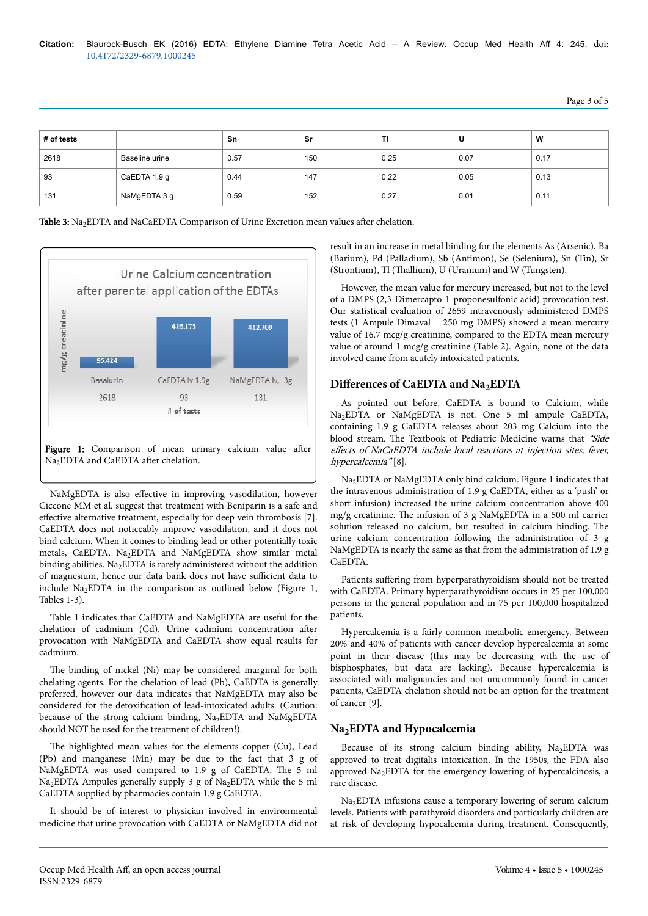| Page 3 of 5 |  |  |  |
|-------------|--|--|--|
|-------------|--|--|--|

| # of tests |                | Sn   | Sr  | ΤI   | U    | W    |
|------------|----------------|------|-----|------|------|------|
| 2618       | Baseline urine | 0.57 | 150 | 0.25 | 0.07 | 0.17 |
| 93         | CaEDTA 1.9 g   | 0.44 | 147 | 0.22 | 0.05 | 0.13 |
| 131        | NaMgEDTA 3 g   | 0.59 | 152 | 0.27 | 0.01 | 0.11 |

Table 3: Na<sub>2</sub>EDTA and NaCaEDTA Comparison of Urine Excretion mean values after chelation.



NaMgEDTA is also effective in improving vasodilation, however Ciccone MM et al. suggest that treatment with Beniparin is a safe and effective alternative treatment, especially for deep vein thrombosis [7]. CaEDTA does not noticeably improve vasodilation, and it does not bind calcium. When it comes to binding lead or other potentially toxic metals, CaEDTA, Na<sub>2</sub>EDTA and NaMgEDTA show similar metal binding abilities. Na<sub>2</sub>EDTA is rarely administered without the addition of magnesium, hence our data bank does not have sufficient data to include Na<sub>2</sub>EDTA in the comparison as outlined below (Figure 1, Tables 1-3).

Table 1 indicates that CaEDTA and NaMgEDTA are useful for the chelation of cadmium (Cd). Urine cadmium concentration after provocation with NaMgEDTA and CaEDTA show equal results for cadmium

The binding of nickel (Ni) may be considered marginal for both chelating agents. For the chelation of lead (Pb), CaEDTA is generally preferred, however our data indicates that NaMgEDTA may also be considered for the detoxification of lead-intoxicated adults. (Caution: because of the strong calcium binding, Na<sub>2</sub>EDTA and NaMgEDTA should NOT be used for the treatment of children!).

The highlighted mean values for the elements copper (Cu), Lead (Pb) and manganese (Mn) may be due to the fact that 3 g of NaMgEDTA was used compared to 1.9 g of CaEDTA. The 5 ml Na<sub>2</sub>EDTA Ampules generally supply 3 g of Na<sub>2</sub>EDTA while the 5 ml CaEDTA supplied by pharmacies contain 1.9 g CaEDTA.

It should be of interest to physician involved in environmental medicine that urine provocation with CaEDTA or NaMgEDTA did not

result in an increase in metal binding for the elements As (Arsenic), Ba (Barium), Pd (Palladium), Sb (Antimon), Se (Selenium), Sn (Tin), Sr (Strontium), Tl (Thallium), U (Uranium) and W (Tungsten).

However, the mean value for mercury increased, but not to the level of a DMPS (2,3-Dimercapto-1-proponesulfonic acid) provocation test. Our statistical evaluation of 2659 intravenously administered DMPS tests (1 Ampule Dimaval =  $250$  mg DMPS) showed a mean mercury value of 16.7 mcg/g creatinine, compared to the EDTA mean mercury value of around 1 mcg/g creatinine (Table 2). Again, none of the data involved came from acutely intoxicated patients.

# Differences of CaEDTA and Na<sub>2</sub>EDTA

As pointed out before, CaEDTA is bound to Calcium, while Na<sub>2</sub>EDTA or NaMgEDTA is not. One 5 ml ampule CaEDTA, containing 1.9 g CaEDTA releases about 203 mg Calcium into the blood stream. The Textbook of Pediatric Medicine warns that "Side" effects of NaCaEDTA include local reactions at injection sites, fever, hypercalcemia"[8].

Na<sub>2</sub>EDTA or NaMgEDTA only bind calcium. Figure 1 indicates that the intravenous administration of 1.9 g CaEDTA, either as a 'push' or short infusion) increased the urine calcium concentration above 400 mg/g creatinine. The infusion of 3 g NaMgEDTA in a 500 ml carrier solution released no calcium, but resulted in calcium binding. The urine calcium concentration following the administration of 3 g NaMgEDTA is nearly the same as that from the administration of 1.9 g CaEDTA.

Patients suffering from hyperparathyroidism should not be treated with CaEDTA. Primary hyperparathyroidism occurs in 25 per 100,000 persons in the general population and in 75 per 100,000 hospitalized patients.

Hypercalcemia is a fairly common metabolic emergency. Between 20% and 40% of patients with cancer develop hypercalcemia at some point in their disease (this may be decreasing with the use of bisphosphates, but data are lacking). Because hypercalcemia is associated with malignancies and not uncommonly found in cancer patients, CaEDTA chelation should not be an option for the treatment of cancer [9].

# Na<sub>2</sub>EDTA and Hypocalcemia

Because of its strong calcium binding ability, Na2EDTA was approved to treat digitalis intoxication. In the 1950s, the FDA also approved Na<sub>2</sub>EDTA for the emergency lowering of hypercalcinosis, a rare disease

Na<sub>2</sub>EDTA infusions cause a temporary lowering of serum calcium levels. Patients with parathyroid disorders and particularly children are at risk of developing hypocalcemia during treatment. Consequently,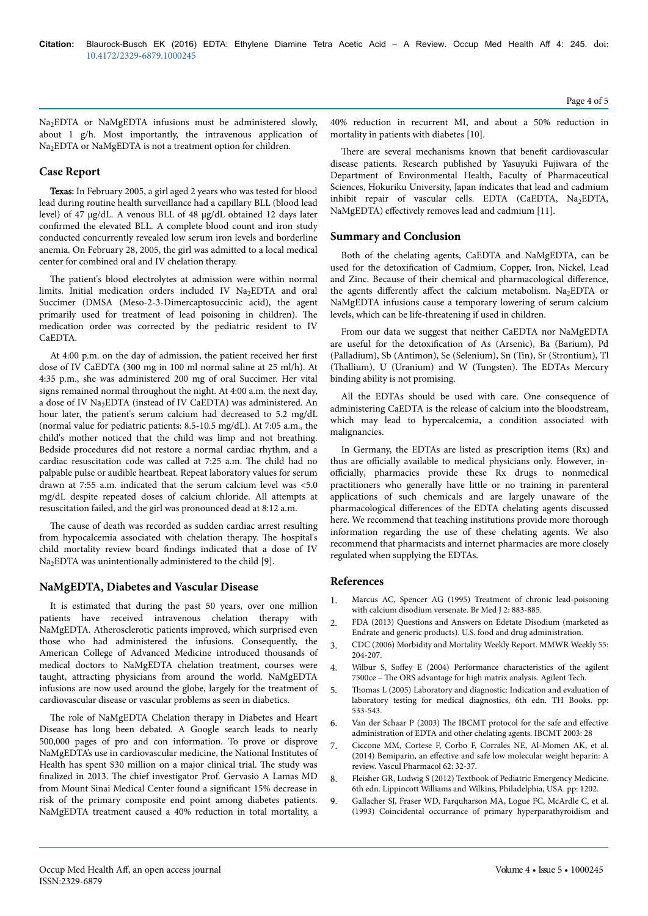Na<sub>2</sub>EDTA or NaMgEDTA infusions must be administered slowly, about 1 g/h. Most importantly, the intravenous application of Na<sub>2</sub>EDTA or NaMgEDTA is not a treatment option for children.

# **Case Report**

Texas: In February 2005, a girl aged 2 years who was tested for blood lead during routine health surveillance had a capillary BLL (blood lead level) of 47 µg/dL. A venous BLL of 48 µg/dL obtained 12 days later confirmed the elevated BLL. A complete blood count and iron study conducted concurrently revealed low serum iron levels and borderline anemia. On February 28, 2005, the girl was admitted to a local medical center for combined oral and IV chelation therapy.

The patient's blood electrolytes at admission were within normal limits. Initial medication orders included IV Na<sub>2</sub>EDTA and oral Succimer (DMSA (Meso-2-3-Dimercaptosuccinic acid), the agent primarily used for treatment of lead poisoning in children). Нe medication order was corrected by the pediatric resident to IV CaEDTA.

At 4:00 p.m. on the day of admission, the patient received her first dose of IV CaEDTA (300 mg in 100 ml normal saline at 25 ml/h). At 4:35 p.m., she was administered 200 mg of oral Succimer. Her vital signs remained normal throughout the night. At 4:00 a.m. the next day, a dose of IV Na<sub>2</sub>EDTA (instead of IV CaEDTA) was administered. An hour later, the patient's serum calcium had decreased to 5.2 mg/dL (normal value for pediatric patients: 8.5-10.5 mg/dL). At 7:05 a.m., the child's mother noticed that the child was limp and not breathing. Bedside procedures did not restore a normal cardiac rhythm, and a cardiac resuscitation code was called at 7:25 a.m. Нe child had no palpable pulse or audible heartbeat. Repeat laboratory values for serum drawn at 7:55 a.m. indicated that the serum calcium level was <5.0 mg/dL despite repeated doses of calcium chloride. All attempts at resuscitation failed, and the girl was pronounced dead at 8:12 a.m.

The cause of death was recorded as sudden cardiac arrest resulting from hypocalcemia associated with chelation therapy. Нe hospital's child mortality review board findings indicated that a dose of IV  $Na<sub>2</sub>EDTA$  was unintentionally administered to the child [9].

# **NaMgEDTA, Diabetes and Vascular Disease**

It is estimated that during the past 50 years, over one million patients have received intravenous chelation therapy with NaMgEDTA. Atherosclerotic patients improved, which surprised even those who had administered the infusions. Consequently, the American College of Advanced Medicine introduced thousands of medical doctors to NaMgEDTA chelation treatment, courses were taught, attracting physicians from around the world. NaMgEDTA infusions are now used around the globe, largely for the treatment of cardiovascular disease or vascular problems as seen in diabetics.

The role of NaMgEDTA Chelation therapy in Diabetes and Heart Disease has long been debated. A Google search leads to nearly 500,000 pages of pro and con information. To prove or disprove NaMgEDTA's use in cardiovascular medicine, the National Institutes of Health has spent \$30 million on a major clinical trial. Нe study was finalized in 2013. The chief investigator Prof. Gervasio A Lamas MD from Mount Sinai Medical Center found a significant 15% decrease in risk of the primary composite end point among diabetes patients. NaMgEDTA treatment caused a 40% reduction in total mortality, a

40% reduction in recurrent MI, and about a 50% reduction in mortality in patients with diabetes [10].

There are several mechanisms known that benefit cardiovascular disease patients. Research published by Yasuyuki Fujiwara of the Department of Environmental Health, Faculty of Pharmaceutical Sciences, Hokuriku University, Japan indicates that lead and cadmium inhibit repair of vascular cells. EDTA (CaEDTA,  $Na<sub>2</sub>EDTA$ , NaMgEDTA) effectively removes lead and cadmium [11].

#### **Summary and Conclusion**

Both of the chelating agents, CaEDTA and NaMgEDTA, can be used for the detoxification of Cadmium, Copper, Iron, Nickel, Lead and Zinc. Because of their chemical and pharmacological difference, the agents differently affect the calcium metabolism. Na<sub>2</sub>EDTA or NaMgEDTA infusions cause a temporary lowering of serum calcium levels, which can be life-threatening if used in children.

From our data we suggest that neither CaEDTA nor NaMgEDTA are useful for the detoxification of As (Arsenic), Ba (Barium), Pd (Palladium), Sb (Antimon), Se (Selenium), Sn (Tin), Sr (Strontium), Tl (Thallium), U (Uranium) and W (Tungsten). The EDTAs Mercury binding ability is not promising.

All the EDTAs should be used with care. One consequence of administering CaEDTA is the release of calcium into the bloodstream, which may lead to hypercalcemia, a condition associated with malignancies.

In Germany, the EDTAs are listed as prescription items (Rx) and thus are officially available to medical physicians only. However, inofficially, pharmacies provide these Rx drugs to nonmedical practitioners who generally have little or no training in parenteral applications of such chemicals and are largely unaware of the pharmacological differences of the EDTA chelating agents discussed here. We recommend that teaching institutions provide more thorough information regarding the use of these chelating agents. We also recommend that pharmacists and internet pharmacies are more closely regulated when supplying the EDTAs.

#### **References**

- 1. Marcus AC, Spencer AG (1995) Treatment of chronic lead-poisoning with calcium disodium versenate. Br Med J 2: 883-885.
- 2. [FDA \(2013\) Questions and Answers on Edetate Disodium \(marketed as](http://www.fda.gov/Drugs/DrugSafety/PostmarketDrugSafetyInformationforPatientsandProviders/ucm113738.htm) [Endrate and generic products\).](http://www.fda.gov/Drugs/DrugSafety/PostmarketDrugSafetyInformationforPatientsandProviders/ucm113738.htm) U.S. food and drug administration.
- 3. [CDC \(2006\) Morbidity and Mortality Weekly Report. MMWR Weekly 55:](http://www.cdc.gov/mmwr/index2006.htm) [204-207.](http://www.cdc.gov/mmwr/index2006.htm)
- 4. Wilbur S, Soffey [E \(2004\) Performance characteristics of the agilent](http://www.agilent.com/cs/library/applications/5989-1041EN.pdf) 7500ce – Нe [ORS advantage for high matrix analysis. Agilent Tech.](http://www.agilent.com/cs/library/applications/5989-1041EN.pdf)
- 5. Нomas L (2005) Laboratory and diagnostic: Indication and evaluation of laboratory testing for medical diagnostics, 6th edn. TH Books. pp: 533-543.
- 6. Van der Schaar P (2003) The IBCMT protocol for the safe and effective administration of EDTA and other chelating agents. IBCMT 2003: 28
- 7. [Ciccone MM, Cortese F, Corbo F, Corrales NE, Al-Momen AK, et al.](http://dx.doi.org/10.1016/j.vph.2014.03.001) (2014) Bemiparin, an effective [and safe low molecular weight heparin: A](http://dx.doi.org/10.1016/j.vph.2014.03.001) [review. Vascul Pharmacol 62: 32-37.](http://dx.doi.org/10.1016/j.vph.2014.03.001)
- 8. Fleisher GR, Ludwig S (2012) Textbook of Pediatric Emergency Medicine. 6th edn. Lippincott Williams and Wilkins, Philadelphia, USA. pp: 1202.
- 9. [Gallacher SJ, Fraser WD, Farquharson MA, Logue FC, McArdle C, et al.](http://dx.doi.org/10.1111/j.1365-2265.1993.tb00526.x) [\(1993\) Coincidental occurrance of primary hyperparathyroidism and](http://dx.doi.org/10.1111/j.1365-2265.1993.tb00526.x)